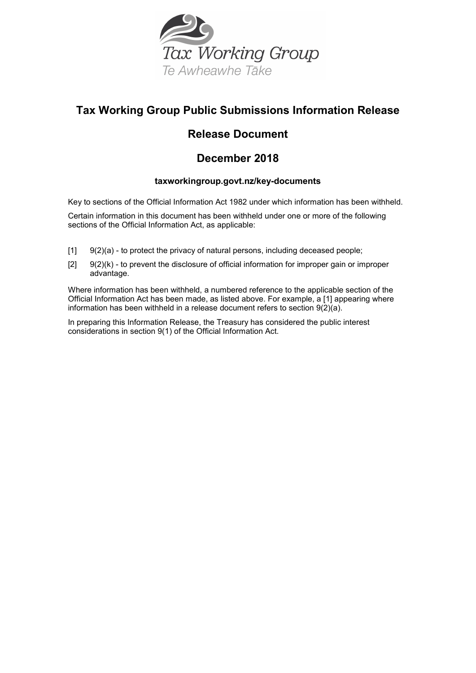

## **Tax Working Group Public Submissions Information Release**

## **Release Document**

## **December 2018**

### **taxworkingroup.govt.nz/key-documents**

Key to sections of the Official Information Act 1982 under which information has been withheld.

Certain information in this document has been withheld under one or more of the following sections of the Official Information Act, as applicable:

- $[1]$   $[9(2)(a)$  to protect the privacy of natural persons, including deceased people;
- $[2]$  9(2)(k) to prevent the disclosure of official information for improper gain or improper advantage.

Where information has been withheld, a numbered reference to the applicable section of the Official Information Act has been made, as listed above. For example, a [1] appearing where information has been withheld in a release document refers to section  $9(2)(a)$ .

In preparing this Information Release, the Treasury has considered the public interest considerations in section 9(1) of the Official Information Act.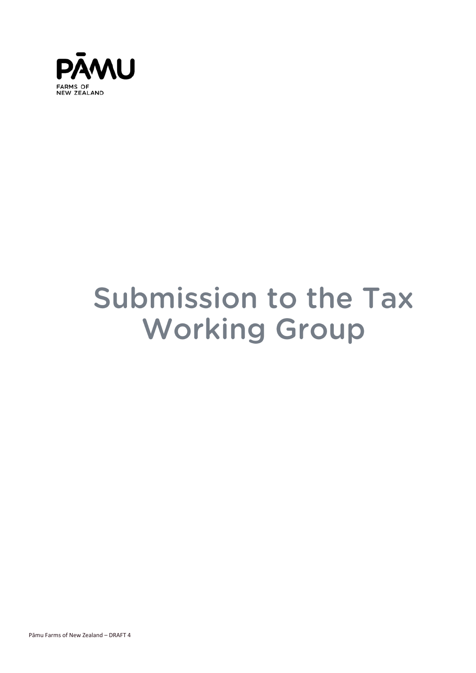

# **Submission to the Tax Working Group**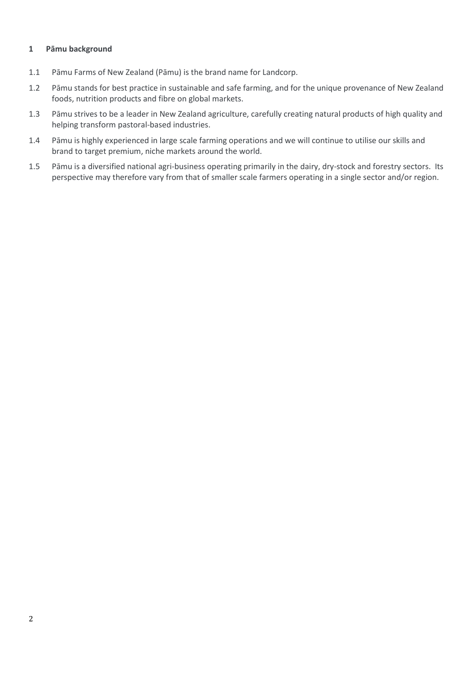#### <span id="page-3-0"></span>**1 Pāmu background**

- 1.1 Pāmu Farms of New Zealand (Pāmu) is the brand name for Landcorp.
- 1.2 Pāmu stands for best practice in sustainable and safe farming, and for the unique provenance of New Zealand foods, nutrition products and fibre on global markets.
- 1.3 Pāmu strives to be a leader in New Zealand agriculture, carefully creating natural products of high quality and helping transform pastoral-based industries.
- 1.4 Pāmu is highly experienced in large scale farming operations and we will continue to utilise our skills and brand to target premium, niche markets around the world.
- 1.5 Pāmu is a diversified national agri-business operating primarily in the dairy, dry-stock and forestry sectors. Its perspective may therefore vary from that of smaller scale farmers operating in a single sector and/or region.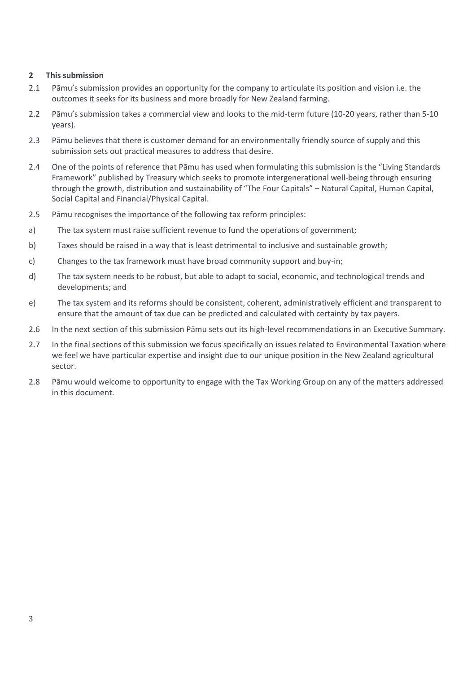#### <span id="page-4-0"></span>**2 This submission**

- 2.1 Pāmu's submission provides an opportunity for the company to articulate its position and vision i.e. the outcomes it seeks for its business and more broadly for New Zealand farming.
- 2.2 Pāmu's submission takes a commercial view and looks to the mid-term future (10-20 years, rather than 5-10 years).
- 2.3 Pāmu believes that there is customer demand for an environmentally friendly source of supply and this submission sets out practical measures to address that desire.
- 2.4 One of the points of reference that Pāmu has used when formulating this submission is the "Living Standards Framework" published by Treasury which seeks to promote intergenerational well-being through ensuring through the growth, distribution and sustainability of "The Four Capitals" – Natural Capital, Human Capital, Social Capital and Financial/Physical Capital.
- 2.5 Pāmu recognises the importance of the following tax reform principles:
- a) The tax system must raise sufficient revenue to fund the operations of government;
- b) Taxes should be raised in a way that is least detrimental to inclusive and sustainable growth;
- c) Changes to the tax framework must have broad community support and buy-in;
- d) The tax system needs to be robust, but able to adapt to social, economic, and technological trends and developments; and
- e) The tax system and its reforms should be consistent, coherent, administratively efficient and transparent to ensure that the amount of tax due can be predicted and calculated with certainty by tax payers.
- 2.6 In the next section of this submission Pāmu sets out its high-level recommendations in an Executive Summary.
- 2.7 In the final sections of this submission we focus specifically on issues related to Environmental Taxation where we feel we have particular expertise and insight due to our unique position in the New Zealand agricultural sector.
- 2.8 Pāmu would welcome to opportunity to engage with the Tax Working Group on any of the matters addressed in this document.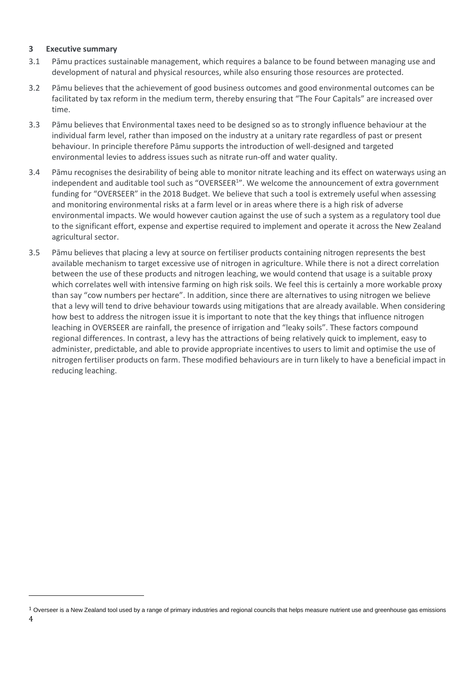#### <span id="page-5-0"></span>**3 Executive summary**

- 3.1 Pāmu practices sustainable management, which requires a balance to be found between managing use and development of natural and physical resources, while also ensuring those resources are protected.
- 3.2 Pāmu believes that the achievement of good business outcomes and good environmental outcomes can be facilitated by tax reform in the medium term, thereby ensuring that "The Four Capitals" are increased over time.
- 3.3 Pāmu believes that Environmental taxes need to be designed so as to strongly influence behaviour at the individual farm level, rather than imposed on the industry at a unitary rate regardless of past or present behaviour. In principle therefore Pāmu supports the introduction of well-designed and targeted environmental levies to address issues such as nitrate run-off and water quality.
- 3.4 Pāmu recognises the desirability of being able to monitor nitrate leaching and its effect on waterways using an independent and auditable tool such as "OVERSEER<sup>1</sup>". We welcome the announcement of extra government funding for "OVERSEER" in the 2018 Budget. We believe that such a tool is extremely useful when assessing and monitoring environmental risks at a farm level or in areas where there is a high risk of adverse environmental impacts. We would however caution against the use of such a system as a regulatory tool due to the significant effort, expense and expertise required to implement and operate it across the New Zealand agricultural sector.
- 3.5 Pāmu believes that placing a levy at source on fertiliser products containing nitrogen represents the best available mechanism to target excessive use of nitrogen in agriculture. While there is not a direct correlation between the use of these products and nitrogen leaching, we would contend that usage is a suitable proxy which correlates well with intensive farming on high risk soils. We feel this is certainly a more workable proxy than say "cow numbers per hectare". In addition, since there are alternatives to using nitrogen we believe that a levy will tend to drive behaviour towards using mitigations that are already available. When considering how best to address the nitrogen issue it is important to note that the key things that influence nitrogen leaching in OVERSEER are rainfall, the presence of irrigation and "leaky soils". These factors compound regional differences. In contrast, a levy has the attractions of being relatively quick to implement, easy to administer, predictable, and able to provide appropriate incentives to users to limit and optimise the use of nitrogen fertiliser products on farm. These modified behaviours are in turn likely to have a beneficial impact in reducing leaching.

1

 $1$  Overseer is a New Zealand tool used by a range of primary industries and regional councils that helps measure nutrient use and greenhouse gas emissions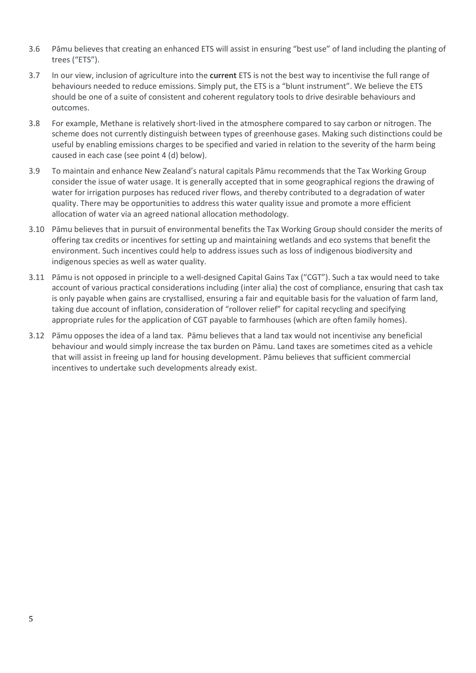- 3.6 Pāmu believes that creating an enhanced ETS will assist in ensuring "best use" of land including the planting of trees ("ETS").
- 3.7 In our view, inclusion of agriculture into the **current** ETS is not the best way to incentivise the full range of behaviours needed to reduce emissions. Simply put, the ETS is a "blunt instrument". We believe the ETS should be one of a suite of consistent and coherent regulatory tools to drive desirable behaviours and outcomes.
- 3.8 For example, Methane is relatively short-lived in the atmosphere compared to say carbon or nitrogen. The scheme does not currently distinguish between types of greenhouse gases. Making such distinctions could be useful by enabling emissions charges to be specified and varied in relation to the severity of the harm being caused in each case (see point 4 (d) below).
- 3.9 To maintain and enhance New Zealand's natural capitals Pāmu recommends that the Tax Working Group consider the issue of water usage. It is generally accepted that in some geographical regions the drawing of water for irrigation purposes has reduced river flows, and thereby contributed to a degradation of water quality. There may be opportunities to address this water quality issue and promote a more efficient allocation of water via an agreed national allocation methodology.
- 3.10 Pāmu believes that in pursuit of environmental benefits the Tax Working Group should consider the merits of offering tax credits or incentives for setting up and maintaining wetlands and eco systems that benefit the environment. Such incentives could help to address issues such as loss of indigenous biodiversity and indigenous species as well as water quality.
- 3.11 Pāmu is not opposed in principle to a well-designed Capital Gains Tax ("CGT"). Such a tax would need to take account of various practical considerations including (inter alia) the cost of compliance, ensuring that cash tax is only payable when gains are crystallised, ensuring a fair and equitable basis for the valuation of farm land, taking due account of inflation, consideration of "rollover relief" for capital recycling and specifying appropriate rules for the application of CGT payable to farmhouses (which are often family homes).
- 3.12 Pāmu opposes the idea of a land tax. Pāmu believes that a land tax would not incentivise any beneficial behaviour and would simply increase the tax burden on Pāmu. Land taxes are sometimes cited as a vehicle that will assist in freeing up land for housing development. Pāmu believes that sufficient commercial incentives to undertake such developments already exist.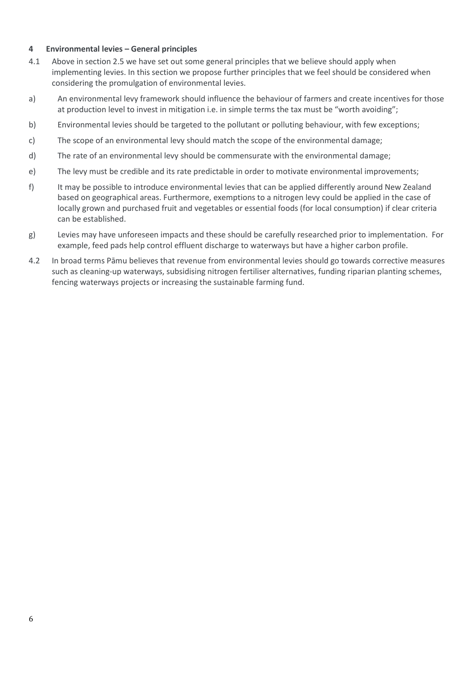#### <span id="page-7-0"></span>**4 Environmental levies – General principles**

- 4.1 Above in section 2.5 we have set out some general principles that we believe should apply when implementing levies. In this section we propose further principles that we feel should be considered when considering the promulgation of environmental levies.
- a) An environmental levy framework should influence the behaviour of farmers and create incentives for those at production level to invest in mitigation i.e. in simple terms the tax must be "worth avoiding";
- b) Environmental levies should be targeted to the pollutant or polluting behaviour, with few exceptions;
- c) The scope of an environmental levy should match the scope of the environmental damage;
- d) The rate of an environmental levy should be commensurate with the environmental damage;
- e) The levy must be credible and its rate predictable in order to motivate environmental improvements;
- f) It may be possible to introduce environmental levies that can be applied differently around New Zealand based on geographical areas. Furthermore, exemptions to a nitrogen levy could be applied in the case of locally grown and purchased fruit and vegetables or essential foods (for local consumption) if clear criteria can be established.
- g) Levies may have unforeseen impacts and these should be carefully researched prior to implementation. For example, feed pads help control effluent discharge to waterways but have a higher carbon profile.
- 4.2 In broad terms Pāmu believes that revenue from environmental levies should go towards corrective measures such as cleaning-up waterways, subsidising nitrogen fertiliser alternatives, funding riparian planting schemes, fencing waterways projects or increasing the sustainable farming fund.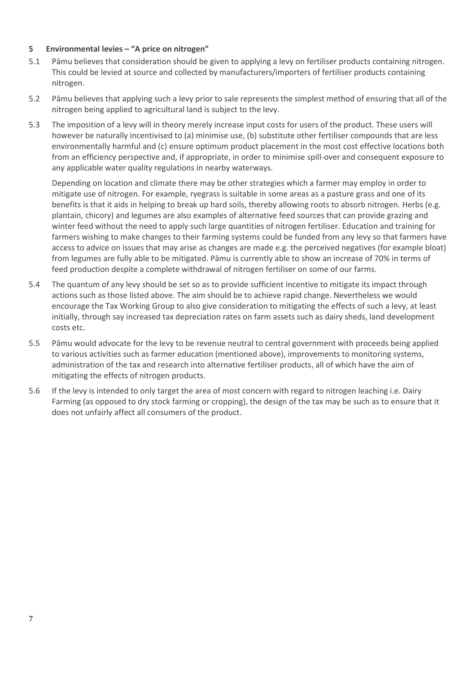#### <span id="page-8-0"></span>**5 Environmental levies – "A price on nitrogen"**

- 5.1 Pāmu believes that consideration should be given to applying a levy on fertiliser products containing nitrogen. This could be levied at source and collected by manufacturers/importers of fertiliser products containing nitrogen.
- 5.2 Pāmu believes that applying such a levy prior to sale represents the simplest method of ensuring that all of the nitrogen being applied to agricultural land is subject to the levy.
- 5.3 The imposition of a levy will in theory merely increase input costs for users of the product. These users will however be naturally incentivised to (a) minimise use, (b) substitute other fertiliser compounds that are less environmentally harmful and (c) ensure optimum product placement in the most cost effective locations both from an efficiency perspective and, if appropriate, in order to minimise spill-over and consequent exposure to any applicable water quality regulations in nearby waterways.

Depending on location and climate there may be other strategies which a farmer may employ in order to mitigate use of nitrogen. For example, ryegrass is suitable in some areas as a pasture grass and one of its benefits is that it aids in helping to break up hard soils, thereby allowing roots to absorb nitrogen. Herbs (e.g. plantain, chicory) and legumes are also examples of alternative feed sources that can provide grazing and winter feed without the need to apply such large quantities of nitrogen fertiliser. Education and training for farmers wishing to make changes to their farming systems could be funded from any levy so that farmers have access to advice on issues that may arise as changes are made e.g. the perceived negatives (for example bloat) from legumes are fully able to be mitigated. Pāmu is currently able to show an increase of 70% in terms of feed production despite a complete withdrawal of nitrogen fertiliser on some of our farms.

- 5.4 The quantum of any levy should be set so as to provide sufficient incentive to mitigate its impact through actions such as those listed above. The aim should be to achieve rapid change. Nevertheless we would encourage the Tax Working Group to also give consideration to mitigating the effects of such a levy, at least initially, through say increased tax depreciation rates on farm assets such as dairy sheds, land development costs etc.
- 5.5 Pāmu would advocate for the levy to be revenue neutral to central government with proceeds being applied to various activities such as farmer education (mentioned above), improvements to monitoring systems, administration of the tax and research into alternative fertiliser products, all of which have the aim of mitigating the effects of nitrogen products.
- 5.6 If the levy is intended to only target the area of most concern with regard to nitrogen leaching i.e. Dairy Farming (as opposed to dry stock farming or cropping), the design of the tax may be such as to ensure that it does not unfairly affect all consumers of the product.